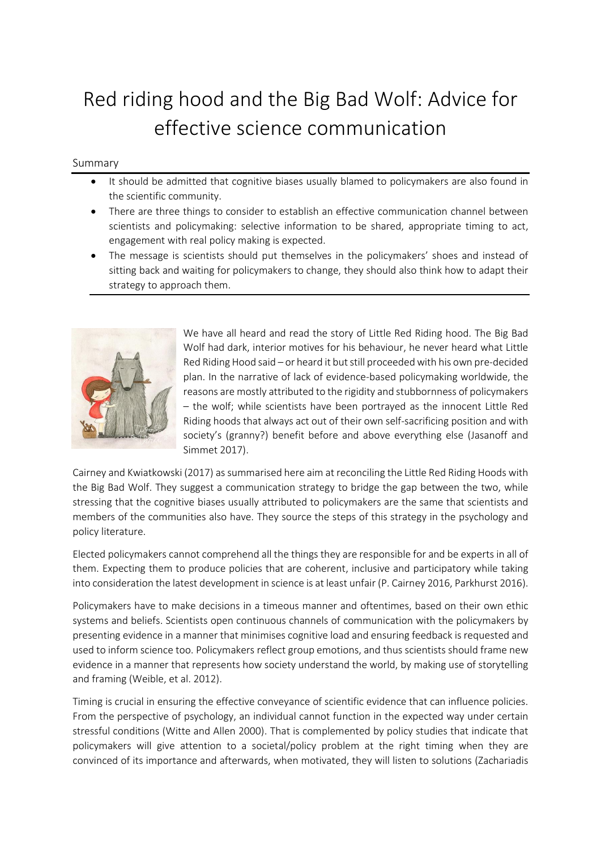## Red riding hood and the Big Bad Wolf: Advice for effective science communication

## Summary

- It should be admitted that cognitive biases usually blamed to policymakers are also found in the scientific community.
- There are three things to consider to establish an effective communication channel between scientists and policymaking: selective information to be shared, appropriate timing to act, engagement with real policy making is expected.
- The message is scientists should put themselves in the policymakers' shoes and instead of sitting back and waiting for policymakers to change, they should also think how to adapt their strategy to approach them.



We have all heard and read the story of Little Red Riding hood. The Big Bad Wolf had dark, interior motives for his behaviour, he never heard what Little Red Riding Hood said – or heard it but still proceeded with his own pre-decided plan. In the narrative of lack of evidence-based policymaking worldwide, the reasons are mostly attributed to the rigidity and stubbornness of policymakers – the wolf; while scientists have been portrayed as the innocent Little Red Riding hoods that always act out of their own self-sacrificing position and with society's (granny?) benefit before and above everything else (Jasanoff and Simmet 2017).

Cairney and Kwiatkowski (2017) as summarised here aim at reconciling the Little Red Riding Hoods with the Big Bad Wolf. They suggest a communication strategy to bridge the gap between the two, while stressing that the cognitive biases usually attributed to policymakers are the same that scientists and members of the communities also have. They source the steps of this strategy in the psychology and policy literature.

Elected policymakers cannot comprehend all the things they are responsible for and be experts in all of them. Expecting them to produce policies that are coherent, inclusive and participatory while taking into consideration the latest development in science is at least unfair (P. Cairney 2016, Parkhurst 2016).

Policymakers have to make decisions in a timeous manner and oftentimes, based on their own ethic systems and beliefs. Scientists open continuous channels of communication with the policymakers by presenting evidence in a manner that minimises cognitive load and ensuring feedback is requested and used to inform science too. Policymakers reflect group emotions, and thus scientists should frame new evidence in a manner that represents how society understand the world, by making use of storytelling and framing (Weible, et al. 2012).

Timing is crucial in ensuring the effective conveyance of scientific evidence that can influence policies. From the perspective of psychology, an individual cannot function in the expected way under certain stressful conditions (Witte and Allen 2000). That is complemented by policy studies that indicate that policymakers will give attention to a societal/policy problem at the right timing when they are convinced of its importance and afterwards, when motivated, they will listen to solutions (Zachariadis